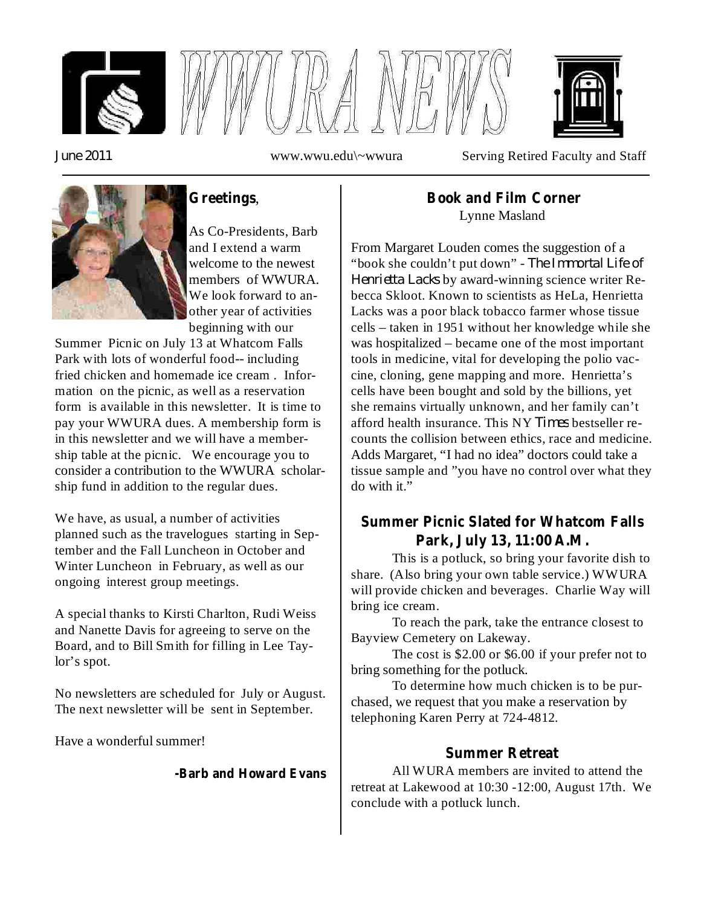



*June 2011*

www.wwu.edu\~wwura Serving Retired Faculty and Staff



# , **Greetings**

As Co-Presidents, Barb and I extend a warm welcome to the newest members of WWURA. We look forward to another year of activities beginning with our

Summer Picnic on July 13 at Whatcom Falls Park with lots of wonderful food-- including fried chicken and homemade ice cream . Information on the picnic, as well as a reservation form is available in this newsletter. It is time to pay your WWURA dues. A membership form is in this newsletter and we will have a membership table at the picnic. We encourage you to consider a contribution to the WWURA scholarship fund in addition to the regular dues.

We have, as usual, a number of activities planned such as the travelogues starting in September and the Fall Luncheon in October and Winter Luncheon in February, as well as our ongoing interest group meetings.

A special thanks to Kirsti Charlton, Rudi Weiss and Nanette Davis for agreeing to serve on the Board, and to Bill Smith for filling in Lee Taylor's spot.

No newsletters are scheduled for July or August. The next newsletter will be sent in September.

Have a wonderful summer!

#### **-Barb and Howard Evans**

### Lynne Masland **Book and Film Corner**

"book she couldn't put down" - The Immortal Life of *Henrietta Lacks* by award-winning science writer Reafford health insurance. This NY Times bestseller re-From Margaret Louden comes the suggestion of a becca Skloot. Known to scientists as HeLa, Henrietta Lacks was a poor black tobacco farmer whose tissue cells – taken in 1951 without her knowledge while she was hospitalized – became one of the most important tools in medicine, vital for developing the polio vaccine, cloning, gene mapping and more. Henrietta's cells have been bought and sold by the billions, yet she remains virtually unknown, and her family can't counts the collision between ethics, race and medicine. Adds Margaret, "I had no idea" doctors could take a tissue sample and "you have no control over what they do with it."

## **Summer Picnic Slated for Whatcom Falls Park, July 13, 11:00 A.M.**

This is a potluck, so bring your favorite dish to share. (Also bring your own table service.) WWURA will provide chicken and beverages. Charlie Way will bring ice cream.

To reach the park, take the entrance closest to Bayview Cemetery on Lakeway.

The cost is \$2.00 or \$6.00 if your prefer not to bring something for the potluck.

To determine how much chicken is to be purchased, we request that you make a reservation by telephoning Karen Perry at 724-4812.

## **Summer Retreat**

All WURA members are invited to attend the retreat at Lakewood at 10:30 -12:00, August 17th. We conclude with a potluck lunch.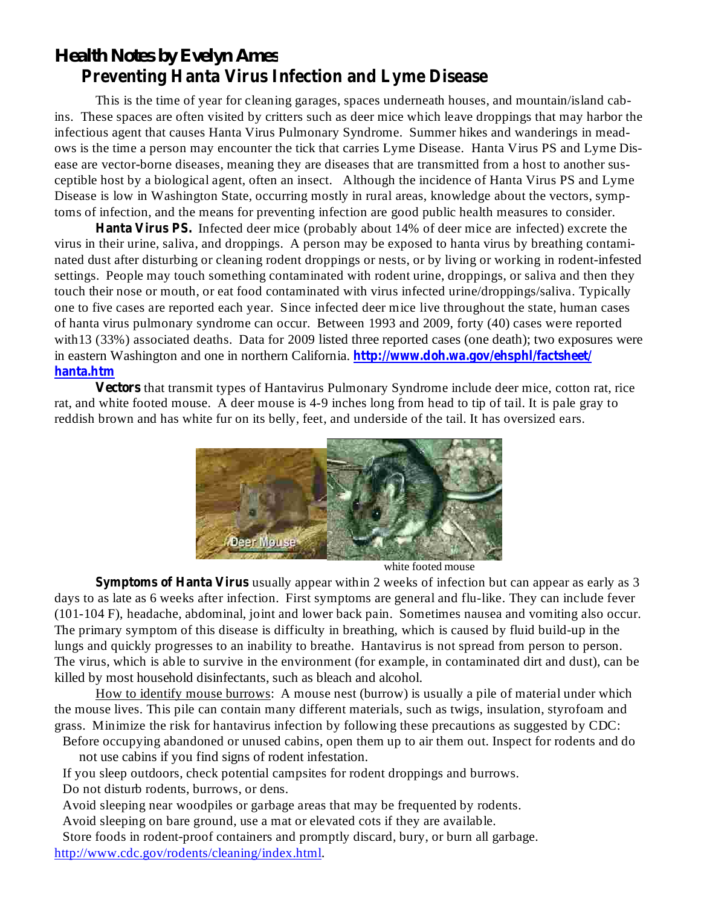# *Health Notes by Evelyn Ames* **Preventing Hanta Virus Infection and Lyme Disease**

This is the time of year for cleaning garages, spaces underneath houses, and mountain/island cabins. These spaces are often visited by critters such as deer mice which leave droppings that may harbor the infectious agent that causes Hanta Virus Pulmonary Syndrome. Summer hikes and wanderings in meadows is the time a person may encounter the tick that carries Lyme Disease. Hanta Virus PS and Lyme Disease are vector-borne diseases, meaning they are diseases that are transmitted from a host to another susceptible host by a biological agent, often an insect. Although the incidence of Hanta Virus PS and Lyme Disease is low in Washington State, occurring mostly in rural areas, knowledge about the vectors, symptoms of infection, and the means for preventing infection are good public health measures to consider.

**Hanta Virus PS.** Infected deer mice (probably about 14% of deer mice are infected) excrete the in eastern Washington and one in northern California. **http://www.doh.wa.gov/ehsphl/factsheet/ hanta.htm** virus in their urine, saliva, and droppings. A person may be exposed to hanta virus by breathing contaminated dust after disturbing or cleaning rodent droppings or nests, or by living or working in rodent-infested settings. People may touch something contaminated with rodent urine, droppings, or saliva and then they touch their nose or mouth, or eat food contaminated with virus infected urine/droppings/saliva. Typically one to five cases are reported each year. Since infected deer mice live throughout the state, human cases of hanta virus pulmonary syndrome can occur. Between 1993 and 2009, forty (40) cases were reported with13 (33%) associated deaths. Data for 2009 listed three reported cases (one death); two exposures were

**Vectors** that transmit types of Hantavirus Pulmonary Syndrome include deer mice, cotton rat, rice rat, and white footed mouse. A deer mouse is 4-9 inches long from head to tip of tail. It is pale gray to reddish brown and has white fur on its belly, feet, and underside of the tail. It has oversized ears.



white footed mouse

**Symptoms of Hanta Virus** usually appear within 2 weeks of infection but can appear as early as 3 days to as late as 6 weeks after infection. First symptoms are general and flu-like. They can include fever (101-104 F), headache, abdominal, joint and lower back pain. Sometimes nausea and vomiting also occur. The primary symptom of this disease is difficulty in breathing, which is caused by fluid build-up in the lungs and quickly progresses to an inability to breathe. Hantavirus is not spread from person to person. The virus, which is able to survive in the environment (for example, in contaminated dirt and dust), can be killed by most household disinfectants, such as bleach and alcohol.

How to identify mouse burrows: A mouse nest (burrow) is usually a pile of material under which the mouse lives. This pile can contain many different materials, such as twigs, insulation, styrofoam and grass. Minimize the risk for hantavirus infection by following these precautions as suggested by CDC:

Before occupying abandoned or unused cabins, open them up to air them out. Inspect for rodents and do not use cabins if you find signs of rodent infestation.

If you sleep outdoors, check potential campsites for rodent droppings and burrows.

Do not disturb rodents, burrows, or dens.

Avoid sleeping near woodpiles or garbage areas that may be frequented by rodents.

Avoid sleeping on bare ground, use a mat or elevated cots if they are available.

Store foods in rodent-proof containers and promptly discard, bury, or burn all garbage. http://www.cdc.gov/rodents/cleaning/index.html.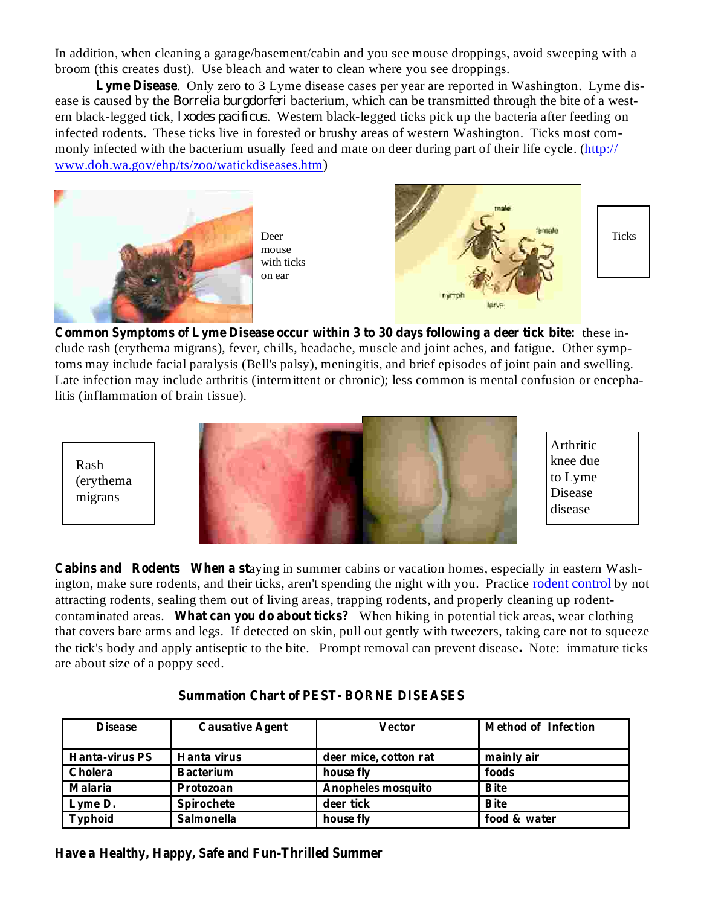In addition, when cleaning a garage/basement/cabin and you see mouse droppings, avoid sweeping with a broom (this creates dust). Use bleach and water to clean where you see droppings.

Lyme Disease. Only zero to 3 Lyme disease cases per year are reported in Washington. Lyme disease is caused by the *Borrelia burgdorferi* bacterium, which can be transmitted through the bite of a western black-legged tick, *Ixodes pacificus*. Western black-legged ticks pick up the bacteria after feeding on infected rodents. These ticks live in forested or brushy areas of western Washington. Ticks most commonly infected with the bacterium usually feed and mate on deer during part of their life cycle. (http:// www.doh.wa.gov/ehp/ts/zoo/watickdiseases.htm)



Deer mouse with ticks on ear



Arthritic knee due to Lyme Disease disease

**Common Symptoms** of Lyme Disease occur within 3 to 30 days following a deer tick bite: these include rash (erythema migrans), fever, chills, headache, muscle and joint aches, and fatigue. Other symptoms may include facial paralysis (Bell's palsy), meningitis, and brief episodes of joint pain and swelling. Late infection may include arthritis (intermittent or chronic); less common is mental confusion or encephalitis (inflammation of brain tissue).

Rash (erythema migrans



**Cabins and Rodents When a staying in summer cabins or vacation homes, especially in eastern Wash**ington, make sure rodents, and their ticks, aren't spending the night with you. Practice rodent control by not attracting rodents, sealing them out of living areas, trapping rodents, and properly cleaning up rodentcontaminated areas. What can you do about ticks? When hiking in potential tick areas, wear clothing that covers bare arms and legs. If detected on skin, pull out gently with tweezers, taking care not to squeeze the tick's body and apply antiseptic to the bite. Prompt removal can prevent disease. Note: immature ticks are about size of a poppy seed.

| <b>Disease</b>        | <b>Causative Agent</b> | <b>Vector</b>         | <b>Method of Infection</b> |
|-----------------------|------------------------|-----------------------|----------------------------|
| <b>Hanta-virus PS</b> | Hanta virus            | deer mice, cotton rat | mainly air                 |
| Cholera               | <b>Bacterium</b>       | house fly             | foods                      |
| Malaria               | Protozoan              | Anopheles mosquito    | <b>B</b> ite               |
| Lyme D.               | Spirochete             | deer tick             | <b>B</b> ite               |
| Typhoid               | Salmonella             | house fly             | food & water               |

#### **Summation Chart of PEST- BORNE DISEASES**

**Have a Healthy, Happy, Safe and Fun-Thrilled Summer**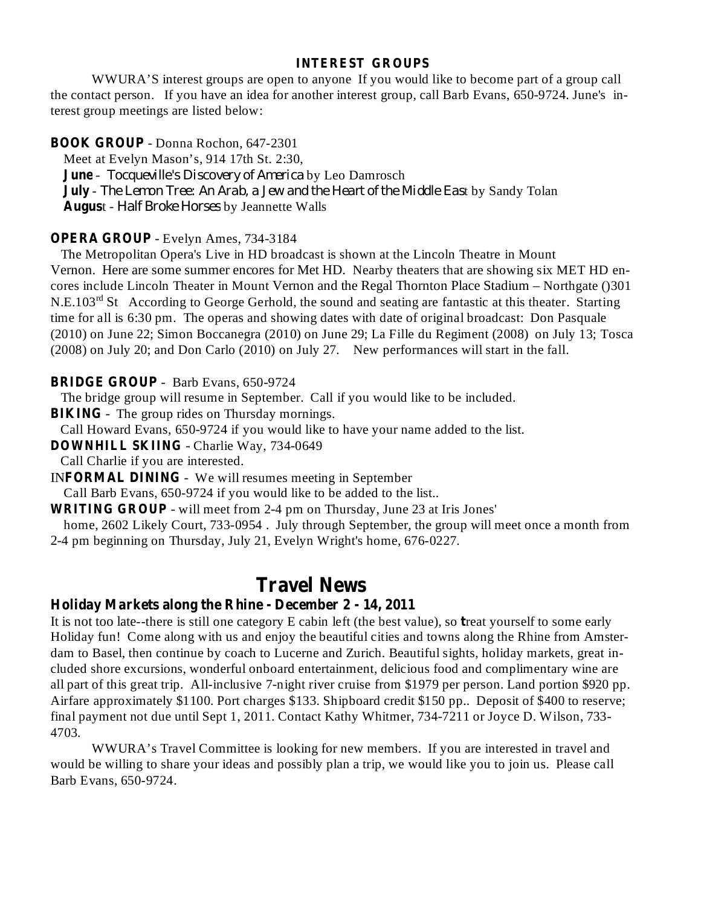#### **INTEREST GROUPS**

WWURA'S interest groups are open to anyone If you would like to become part of a group call the contact person. If you have an idea for another interest group, call Barb Evans, 650-9724. June's interest group meetings are listed below:

#### **BOOK GROUP** - Donna Rochon, 647-2301

**June** - Tocqueville's Discovery of America by Leo Damrosch **July** - The Lemon Tree: An Arab, a Jew and the Heart of the Middle East by Sandy Tolan August - Half Broke Horses by Jeannette Walls Meet at Evelyn Mason's, 914 17th St. 2:30,

#### **OPERA GROUP** - Evelyn Ames, 734-3184

The Metropolitan Opera's Live in HD broadcast is shown at the Lincoln Theatre in Mount Vernon. Here are some summer encores for Met HD. Nearby theaters that are showing six MET HD encores include Lincoln Theater in Mount Vernon and the Regal Thornton Place Stadium – Northgate ()301 N.E.103<sup>rd</sup> St According to George Gerhold, the sound and seating are fantastic at this theater. Starting time for all is 6:30 pm. The operas and showing dates with date of original broadcast: Don Pasquale (2010) on June 22; Simon Boccanegra (2010) on June 29; La Fille du Regiment (2008) on July 13; Tosca (2008) on July 20; and Don Carlo (2010) on July 27. New performances will start in the fall.

#### **BRIDGE GROUP** - Barb Evans, 650-9724

The bridge group will resume in September. Call if you would like to be included.

**BIKING** - The group rides on Thursday mornings.

Call Howard Evans, 650-9724 if you would like to have your name added to the list.

**DOWNHILL SKIING** - Charlie Way, 734-0649

Call Charlie if you are interested.

**INFORMAL DINING** - We will resumes meeting in September Call Barb Evans, 650-9724 if you would like to be added to the list..

**WRITING GROUP** - will meet from 2-4 pm on Thursday, June 23 at Iris Jones'

home, 2602 Likely Court, 733-0954 . July through September, the group will meet once a month from 2-4 pm beginning on Thursday, July 21, Evelyn Wright's home, 676-0227.

# **Travel News**

### **Holiday Markets along the Rhine - December 2 - 14, 2011**

It is not too late--there is still one category E cabin left (the best value), so treat yourself to some early Holiday fun! Come along with us and enjoy the beautiful cities and towns along the Rhine from Amsterdam to Basel, then continue by coach to Lucerne and Zurich. Beautiful sights, holiday markets, great included shore excursions, wonderful onboard entertainment, delicious food and complimentary wine are all part of this great trip. All-inclusive 7-night river cruise from \$1979 per person. Land portion \$920 pp. Airfare approximately \$1100. Port charges \$133. Shipboard credit \$150 pp.. Deposit of \$400 to reserve; final payment not due until Sept 1, 2011. Contact Kathy Whitmer, 734-7211 or Joyce D. Wilson, 733- 4703.

WWURA's Travel Committee is looking for new members. If you are interested in travel and would be willing to share your ideas and possibly plan a trip, we would like you to join us. Please call Barb Evans, 650-9724.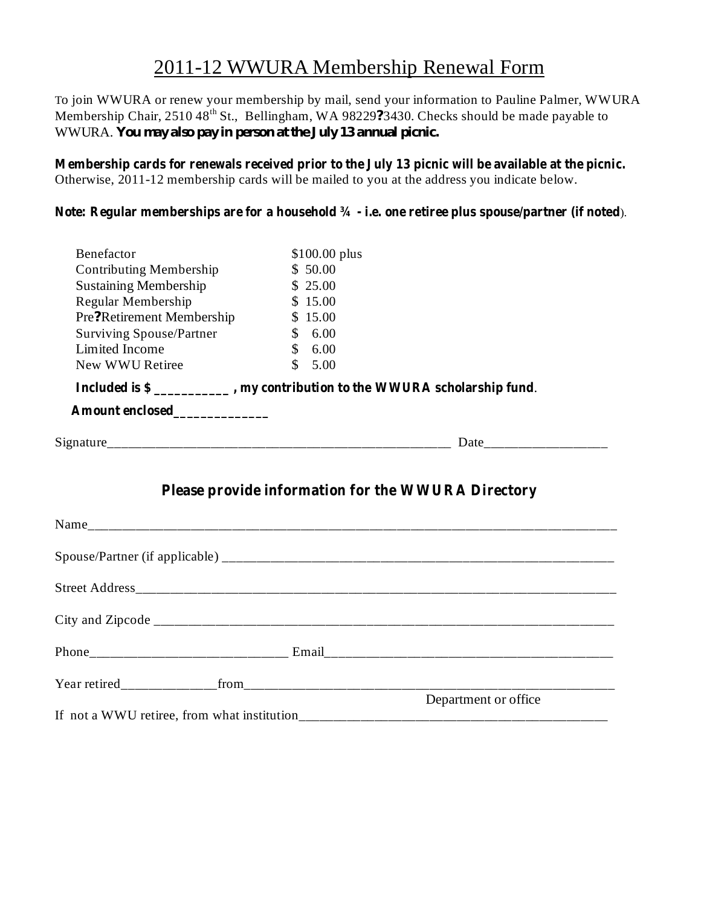# 2011-12 WWURA Membership Renewal Form

To join WWURA or renew your membership by mail, send your information to Pauline Palmer, WWURA Membership Chair, 2510 48<sup>th</sup> St., Bellingham, WA 98229?3430. Checks should be made payable to WWURA. *You may also pay in person at the July 13 annual picnic.*

Otherwise, 2011-12 membership cards will be mailed to you at the address you indicate below. **Membership cards for renewals received prior to the July 13 picnic will be available at the picnic.**

#### ). **Note: Regular memberships are for a household ¾ - i.e. one retiree plus spouse/partner (if noted**

| Benefactor                                                               | $$100.00$ plus                                     |                      |
|--------------------------------------------------------------------------|----------------------------------------------------|----------------------|
| <b>Contributing Membership</b>                                           | \$50.00                                            |                      |
| <b>Sustaining Membership</b>                                             | \$25.00                                            |                      |
| Regular Membership                                                       | \$15.00                                            |                      |
| Pre?Retirement Membership                                                | \$15.00                                            |                      |
| <b>Surviving Spouse/Partner</b>                                          | \$6.00                                             |                      |
| Limited Income                                                           | $\mathbb{S}$<br>6.00                               |                      |
| New WWU Retiree                                                          | $\mathcal{S}$<br>5.00                              |                      |
| Included is \$ _________, my contribution to the WWURA scholarship fund. |                                                    |                      |
| Amount enclosed____________                                              |                                                    |                      |
|                                                                          |                                                    |                      |
|                                                                          |                                                    |                      |
|                                                                          | Please provide information for the WWURA Directory |                      |
|                                                                          |                                                    |                      |
|                                                                          |                                                    |                      |
|                                                                          |                                                    |                      |
|                                                                          |                                                    |                      |
|                                                                          |                                                    |                      |
|                                                                          |                                                    |                      |
|                                                                          |                                                    | Department or office |
|                                                                          |                                                    |                      |